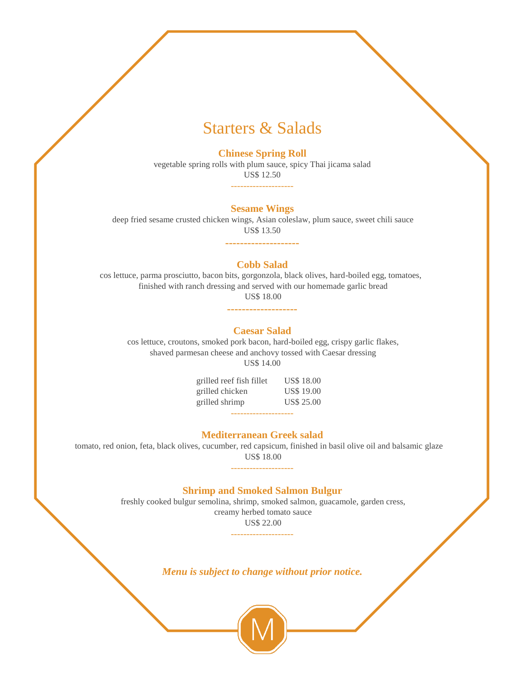### Starters & Salads

#### **Chinese Spring Roll**

vegetable spring rolls with plum sauce, spicy Thai jicama salad US\$ 12.50

--------------------

#### **Sesame Wings**

deep fried sesame crusted chicken wings, Asian coleslaw, plum sauce, sweet chili sauce US\$ 13.50

**--------------------**

#### **Cobb Salad**

 cos lettuce, parma prosciutto, bacon bits, gorgonzola, black olives, hard-boiled egg, tomatoes, finished with ranch dressing and served with our homemade garlic bread US\$ 18.00

**-------------------**

#### **Caesar Salad**

cos lettuce, croutons, smoked pork bacon, hard-boiled egg, crispy garlic flakes, shaved parmesan cheese and anchovy tossed with Caesar dressing US\$ 14.00

> grilled reef fish fillet US\$ 18.00 grilled chicken US\$ 19.00 grilled shrimp US\$ 25.00 --------------------

#### **Mediterranean Greek salad**

tomato, red onion, feta, black olives, cucumber, red capsicum, finished in basil olive oil and balsamic glaze US\$ 18.00

**Shrimp and Smoked Salmon Bulgur**

--------------------

freshly cooked bulgur semolina, shrimp, smoked salmon, guacamole, garden cress, creamy herbed tomato sauce US\$ 22.00

--------------------

*Menu is subject to change without prior notice.*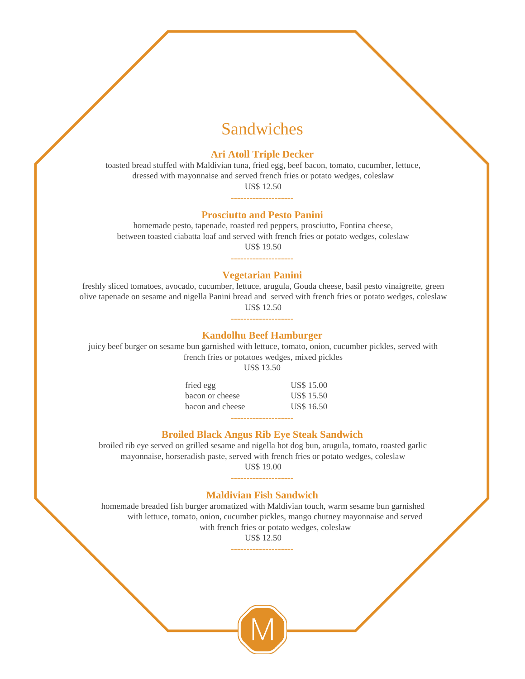## Sandwiches

#### **Ari Atoll Triple Decker**

toasted bread stuffed with Maldivian tuna, fried egg, beef bacon, tomato, cucumber, lettuce, dressed with mayonnaise and served french fries or potato wedges, coleslaw US\$ 12.50

### -------------------- **Prosciutto and Pesto Panini**

homemade pesto, tapenade, roasted red peppers, prosciutto, Fontina cheese, between toasted ciabatta loaf and served with french fries or potato wedges, coleslaw US\$ 19.50

### -------------------- **Vegetarian Panini**

freshly sliced tomatoes, avocado, cucumber, lettuce, arugula, Gouda cheese, basil pesto vinaigrette, green olive tapenade on sesame and nigella Panini bread and served with french fries or potato wedges, coleslaw US\$ 12.50

### -------------------- **Kandolhu Beef Hamburger**

juicy beef burger on sesame bun garnished with lettuce, tomato, onion, cucumber pickles, served with french fries or potatoes wedges, mixed pickles

US\$ 13.50

fried egg US\$ 15.00 bacon or cheese US\$ 15.50 bacon and cheese US\$ 16.50 --------------------

#### **Broiled Black Angus Rib Eye Steak Sandwich**

broiled rib eye served on grilled sesame and nigella hot dog bun, arugula, tomato, roasted garlic mayonnaise, horseradish paste, served with french fries or potato wedges, coleslaw US\$ 19.00

--------------------

#### **Maldivian Fish Sandwich**

homemade breaded fish burger aromatized with Maldivian touch, warm sesame bun garnished with lettuce, tomato, onion, cucumber pickles, mango chutney mayonnaise and served with french fries or potato wedges, coleslaw

> US\$ 12.50 --------------------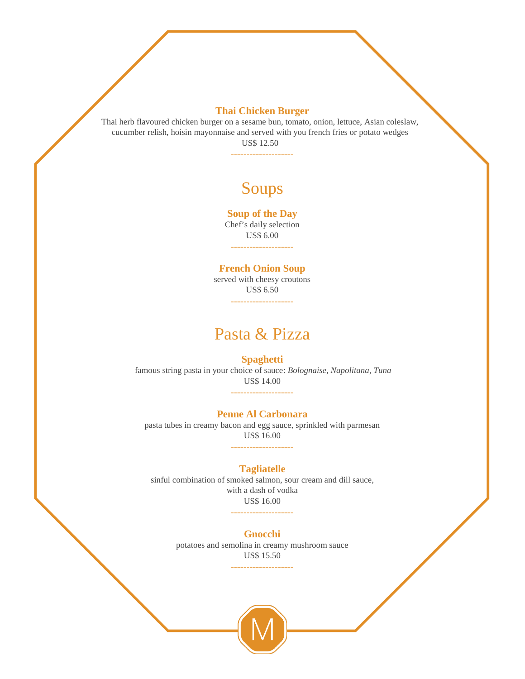#### **Thai Chicken Burger**

Thai herb flavoured chicken burger on a sesame bun, tomato, onion, lettuce, Asian coleslaw, cucumber relish, hoisin mayonnaise and served with you french fries or potato wedges US\$ 12.50

--------------------

# Soups

#### **Soup of the Day**

Chef's daily selection US\$ 6.00 --------------------

#### **French Onion Soup**

served with cheesy croutons US\$ 6.50 --------------------

### Pasta & Pizza

#### **Spaghetti**

famous string pasta in your choice of sauce: *Bolognaise, Napolitana, Tuna* US\$ 14.00

--------------------

#### **Penne Al Carbonara**

pasta tubes in creamy bacon and egg sauce, sprinkled with parmesan US\$ 16.00 --------------------

#### **Tagliatelle**

sinful combination of smoked salmon, sour cream and dill sauce, with a dash of vodka US\$ 16.00

--------------------

#### **Gnocchi**

potatoes and semolina in creamy mushroom sauce US\$ 15.50 --------------------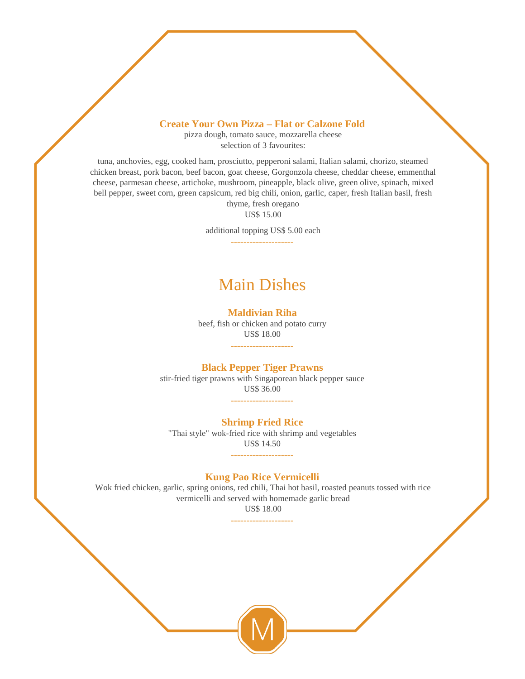#### **Create Your Own Pizza – Flat or Calzone Fold**

pizza dough, tomato sauce, mozzarella cheese selection of 3 favourites:

tuna, anchovies, egg, cooked ham, prosciutto, pepperoni salami, Italian salami, chorizo, steamed chicken breast, pork bacon, beef bacon, goat cheese, Gorgonzola cheese, cheddar cheese, emmenthal cheese, parmesan cheese, artichoke, mushroom, pineapple, black olive, green olive, spinach, mixed bell pepper, sweet corn, green capsicum, red big chili, onion, garlic, caper, fresh Italian basil, fresh thyme, fresh oregano

US\$ 15.00

additional topping US\$ 5.00 each --------------------

### Main Dishes

#### **Maldivian Riha**

beef, fish or chicken and potato curry US\$ 18.00 --------------------

#### **Black Pepper Tiger Prawns**

stir-fried tiger prawns with Singaporean black pepper sauce US\$ 36.00 --------------------

#### **Shrimp Fried Rice**

"Thai style" wok-fried rice with shrimp and vegetables US\$ 14.50 --------------------

#### **Kung Pao Rice Vermicelli**

Wok fried chicken, garlic, spring onions, red chili, Thai hot basil, roasted peanuts tossed with rice vermicelli and served with homemade garlic bread

US\$ 18.00 --------------------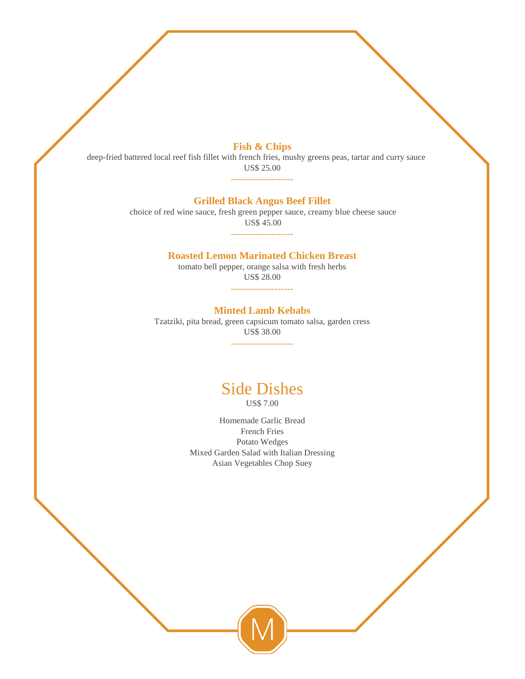#### **Fish & Chips**

deep-fried battered local reef fish fillet with french fries, mushy greens peas, tartar and curry sauce US\$ 25.00

# --------------------

#### **Grilled Black Angus Beef Fillet**

choice of red wine sauce, fresh green pepper sauce, creamy blue cheese sauce US\$ 45.00 --------------------

#### **Roasted Lemon Marinated Chicken Breast**

tomato bell pepper, orange salsa with fresh herbs US\$ 28.00

> -------------------- **Minted Lamb Kebabs**

Tzatziki, pita bread, green capsicum tomato salsa, garden cress US\$ 38.00

--------------------

# Side Dishes

US\$ 7.00

Homemade Garlic Bread French Fries Potato Wedges Mixed Garden Salad with Italian Dressing Asian Vegetables Chop Suey